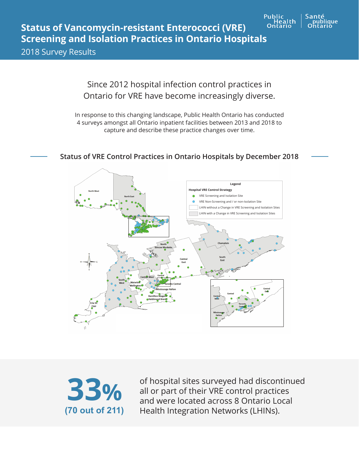

## **Status of Vancomycin-resistant Enterococci (VRE) Screening and Isolation Practices in Ontario Hospitals**

2018 Survey Results

Since 2012 hospital infection control practices in Ontario for VRE have become increasingly diverse.

In response to this changing landscape, Public Health Ontario has conducted 4 surveys amongst all Ontario inpatient facilities between 2013 and 2018 to capture and describe these practice changes over time.

## **Legend Hospital VRE Control Strategy** VRE Screening and Isolation Site  $\bullet$ VRE Non-Screening and / or non-Isolation Site LHIN without a Change in VRE Screening and Isolation Sites LHIN with a Change in VRE Screening and Isolation SitesSouth<br>East

## **Status of VRE Control Practices in Ontario Hospitals by December 2018**



of hospital sites surveyed had discontinued all or part of their VRE control practices and were located across 8 Ontario Local Health Integration Networks (LHINs).